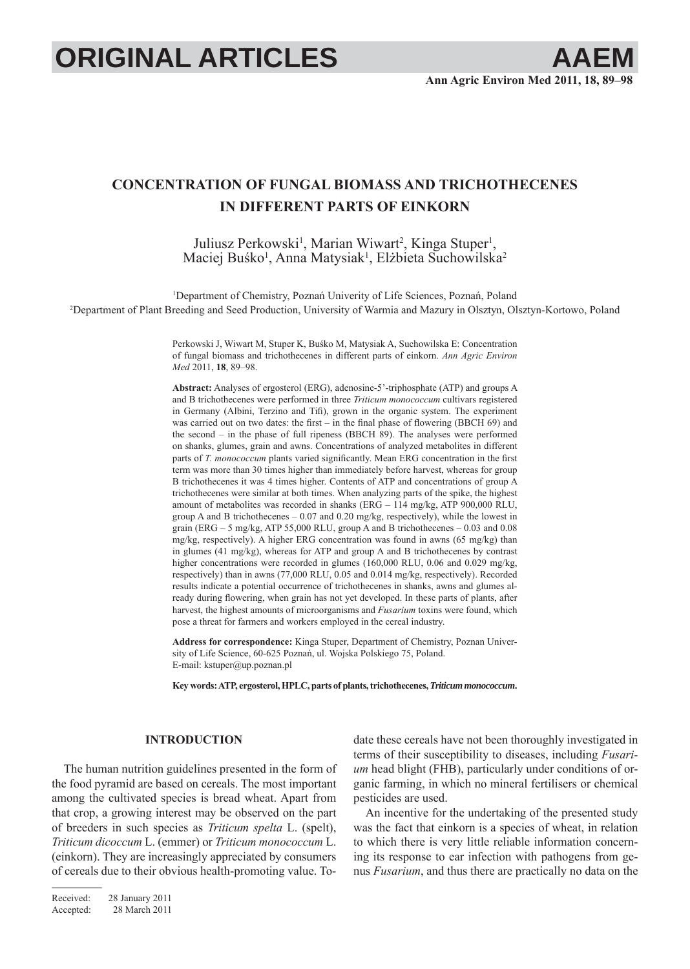# **ORIGINAL ARTICLES AAEI**

# **CONCENTRATION OF FUNGAL BIOMASS AND TRICHOTHECENES IN DIFFERENT PARTS OF EINKORN**

Juliusz Perkowski<sup>1</sup>, Marian Wiwart<sup>2</sup>, Kinga Stuper<sup>1</sup>, Maciej Buśko<sup>1</sup>, Anna Matysiak<sup>1</sup>, Elżbieta Suchowilska<sup>2</sup>

1 Department of Chemistry, Poznań Univerity of Life Sciences, Poznań, Poland 2 Department of Plant Breeding and Seed Production, University of Warmia and Mazury in Olsztyn, Olsztyn-Kortowo, Poland

> Perkowski J, Wiwart M, Stuper K, Buśko M, Matysiak A, Suchowilska E: Concentration of fungal biomass and trichothecenes in different parts of einkorn. *Ann Agric Environ Med* 2011, **18**, 89–98.

> **Abstract:** Analyses of ergosterol (ERG), adenosine-5'-triphosphate (ATP) and groups A and B trichothecenes were performed in three *Triticum monococcum* cultivars registered in Germany (Albini, Terzino and Tifi), grown in the organic system. The experiment was carried out on two dates: the first – in the final phase of flowering (BBCH 69) and the second – in the phase of full ripeness (BBCH 89). The analyses were performed on shanks, glumes, grain and awns. Concentrations of analyzed metabolites in different parts of *T. monococcum* plants varied significantly. Mean ERG concentration in the first term was more than 30 times higher than immediately before harvest, whereas for group B trichothecenes it was 4 times higher. Contents of ATP and concentrations of group A trichothecenes were similar at both times. When analyzing parts of the spike, the highest amount of metabolites was recorded in shanks (ERG – 114 mg/kg, ATP 900,000 RLU, group A and B trichothecenes – 0.07 and 0.20 mg/kg, respectively), while the lowest in grain (ERG – 5 mg/kg, ATP 55,000 RLU, group A and B trichothecenes – 0.03 and 0.08 mg/kg, respectively). A higher ERG concentration was found in awns (65 mg/kg) than in glumes (41 mg/kg), whereas for ATP and group A and B trichothecenes by contrast higher concentrations were recorded in glumes (160,000 RLU, 0.06 and 0.029 mg/kg, respectively) than in awns (77,000 RLU, 0.05 and 0.014 mg/kg, respectively). Recorded results indicate a potential occurrence of trichothecenes in shanks, awns and glumes already during flowering, when grain has not yet developed. In these parts of plants, after harvest, the highest amounts of microorganisms and *Fusarium* toxins were found, which pose a threat for farmers and workers employed in the cereal industry.

> **Address for correspondence:** Kinga Stuper, Department of Chemistry, Poznan University of Life Science, 60-625 Poznań, ul. Wojska Polskiego 75, Poland. E-mail: kstuper@up.poznan.pl

> **Key words: ATP, ergosterol, HPLC, parts of plants, trichothecenes,** *Triticum monococcum***.**

## **INTRODUCTION**

The human nutrition guidelines presented in the form of the food pyramid are based on cereals. The most important among the cultivated species is bread wheat. Apart from that crop, a growing interest may be observed on the part of breeders in such species as *Triticum spelta* L. (spelt), *Triticum dicoccum* L. (emmer) or *Triticum monococcum* L. (einkorn). They are increasingly appreciated by consumers of cereals due to their obvious health-promoting value. Todate these cereals have not been thoroughly investigated in terms of their susceptibility to diseases, including *Fusarium* head blight (FHB), particularly under conditions of organic farming, in which no mineral fertilisers or chemical pesticides are used.

An incentive for the undertaking of the presented study was the fact that einkorn is a species of wheat, in relation to which there is very little reliable information concerning its response to ear infection with pathogens from genus *Fusarium*, and thus there are practically no data on the

Received: 28 January 2011 Accepted: 28 March 2011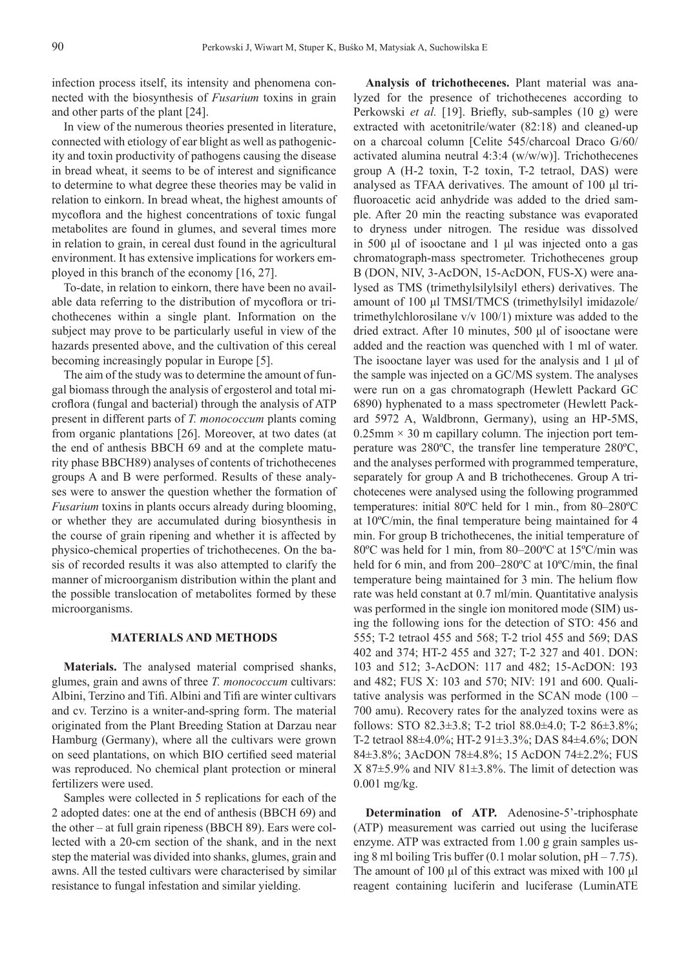infection process itself, its intensity and phenomena connected with the biosynthesis of *Fusarium* toxins in grain and other parts of the plant [24].

In view of the numerous theories presented in literature, connected with etiology of ear blight as well as pathogenicity and toxin productivity of pathogens causing the disease in bread wheat, it seems to be of interest and significance to determine to what degree these theories may be valid in relation to einkorn. In bread wheat, the highest amounts of mycoflora and the highest concentrations of toxic fungal metabolites are found in glumes, and several times more in relation to grain, in cereal dust found in the agricultural environment. It has extensive implications for workers employed in this branch of the economy [16, 27].

To-date, in relation to einkorn, there have been no available data referring to the distribution of mycoflora or trichothecenes within a single plant. Information on the subject may prove to be particularly useful in view of the hazards presented above, and the cultivation of this cereal becoming increasingly popular in Europe [5].

The aim of the study was to determine the amount of fungal biomass through the analysis of ergosterol and total microflora (fungal and bacterial) through the analysis of ATP present in different parts of *T. monococcum* plants coming from organic plantations [26]. Moreover, at two dates (at the end of anthesis BBCH 69 and at the complete maturity phase BBCH89) analyses of contents of trichothecenes groups A and B were performed. Results of these analyses were to answer the question whether the formation of *Fusarium* toxins in plants occurs already during blooming, or whether they are accumulated during biosynthesis in the course of grain ripening and whether it is affected by physico-chemical properties of trichothecenes. On the basis of recorded results it was also attempted to clarify the manner of microorganism distribution within the plant and the possible translocation of metabolites formed by these microorganisms.

# **MATERIALS AND METHODS**

**Materials.** The analysed material comprised shanks, glumes, grain and awns of three *T. monococcum* cultivars: Albini, Terzino and Tifi . Albini and Tifi are winter cultivars and cv. Terzino is a wniter-and-spring form. The material originated from the Plant Breeding Station at Darzau near Hamburg (Germany), where all the cultivars were grown on seed plantations, on which BIO certified seed material was reproduced. No chemical plant protection or mineral fertilizers were used.

Samples were collected in 5 replications for each of the 2 adopted dates: one at the end of anthesis (BBCH 69) and the other – at full grain ripeness (BBCH 89). Ears were collected with a 20-cm section of the shank, and in the next step the material was divided into shanks, glumes, grain and awns. All the tested cultivars were characterised by similar resistance to fungal infestation and similar yielding.

**Analysis of trichothecenes.** Plant material was analyzed for the presence of trichothecenes according to Perkowski *et al.* [19]. Briefly, sub-samples (10 g) were extracted with acetonitrile/water (82:18) and cleaned-up on a charcoal column [Celite 545/charcoal Draco G/60/ activated alumina neutral 4:3:4 (w/w/w)]. Trichothecenes group A (H-2 toxin, T-2 toxin, T-2 tetraol, DAS) were analysed as TFAA derivatives. The amount of 100 μl trifluoroacetic acid anhydride was added to the dried sample. After 20 min the reacting substance was evaporated to dryness under nitrogen. The residue was dissolved in 500 μl of isooctane and 1 μl was injected onto a gas chromatograph-mass spectrometer. Trichothecenes group B (DON, NIV, 3-AcDON, 15-AcDON, FUS-X) were analysed as TMS (trimethylsilylsilyl ethers) derivatives. The amount of 100 μl TMSI/TMCS (trimethylsilyl imidazole/ trimethylchlorosilane v/v 100/1) mixture was added to the dried extract. After 10 minutes, 500 μl of isooctane were added and the reaction was quenched with 1 ml of water. The isooctane layer was used for the analysis and 1 μl of the sample was injected on a GC/MS system. The analyses were run on a gas chromatograph (Hewlett Packard GC 6890) hyphenated to a mass spectrometer (Hewlett Packard 5972 A, Waldbronn, Germany), using an HP-5MS,  $0.25$ mm  $\times$  30 m capillary column. The injection port temperature was 280ºC, the transfer line temperature 280ºC, and the analyses performed with programmed temperature, separately for group A and B trichothecenes. Group A trichotecenes were analysed using the following programmed temperatures: initial 80ºC held for 1 min., from 80–280ºC at  $10^{\circ}$ C/min, the final temperature being maintained for 4 min. For group B trichothecenes, the initial temperature of 80ºC was held for 1 min, from 80–200ºC at 15ºC/min was held for 6 min, and from  $200-280^{\circ}$ C at  $10^{\circ}$ C/min, the final temperature being maintained for 3 min. The helium flow rate was held constant at 0.7 ml/min. Quantitative analysis was performed in the single ion monitored mode (SIM) using the following ions for the detection of STO: 456 and 555; T-2 tetraol 455 and 568; T-2 triol 455 and 569; DAS 402 and 374; HT-2 455 and 327; T-2 327 and 401. DON: 103 and 512; 3-AcDON: 117 and 482; 15-AcDON: 193 and 482; FUS X: 103 and 570; NIV: 191 and 600. Qualitative analysis was performed in the SCAN mode (100 – 700 amu). Recovery rates for the analyzed toxins were as follows: STO 82.3 $\pm$ 3.8; T-2 triol 88.0 $\pm$ 4.0; T-2 86 $\pm$ 3.8%; T-2 tetraol 88±4.0%; HT-2 91±3.3%; DAS 84±4.6%; DON 84±3.8%; 3AcDON 78±4.8%; 15 AcDON 74±2.2%; FUS  $X 87±5.9%$  and NIV  $81±3.8%$ . The limit of detection was 0.001 mg/kg.

**Determination of ATP.** Adenosine-5'-triphosphate (ATP) measurement was carried out using the luciferase enzyme. ATP was extracted from 1.00 g grain samples using 8 ml boiling Tris buffer  $(0.1 \text{ molar solution}, pH - 7.75)$ . The amount of 100 μl of this extract was mixed with 100 μl reagent containing luciferin and luciferase (LuminATE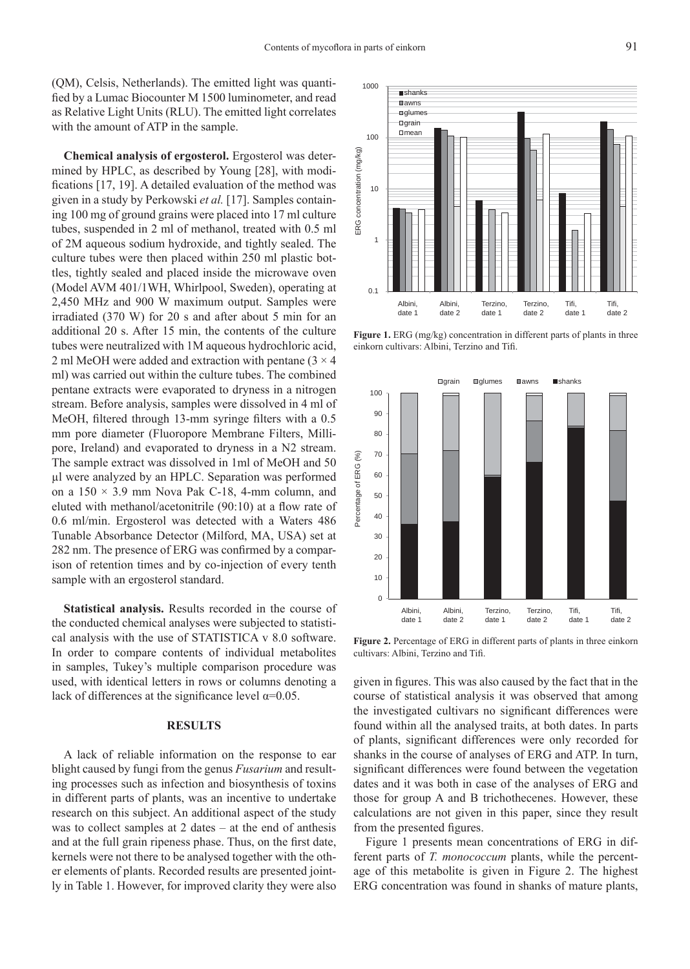(QM), Celsis, Netherlands). The emitted light was quantified by a Lumac Biocounter M 1500 luminometer, and read as Relative Light Units (RLU). The emitted light correlates with the amount of ATP in the sample.

**Chemical analysis of ergosterol.** Ergosterol was determined by HPLC, as described by Young [28], with modifications  $[17, 19]$ . A detailed evaluation of the method was given in a study by Perkowski *et al.* [17]. Samples containing 100 mg of ground grains were placed into 17 ml culture tubes, suspended in 2 ml of methanol, treated with 0.5 ml of 2M aqueous sodium hydroxide, and tightly sealed. The culture tubes were then placed within 250 ml plastic bottles, tightly sealed and placed inside the microwave oven (Model AVM 401/1WH, Whirlpool, Sweden), operating at 2,450 MHz and 900 W maximum output. Samples were irradiated (370 W) for 20 s and after about 5 min for an additional 20 s. After 15 min, the contents of the culture tubes were neutralized with 1M aqueous hydrochloric acid, 2 ml MeOH were added and extraction with pentane  $(3 \times 4)$ ml) was carried out within the culture tubes. The combined pentane extracts were evaporated to dryness in a nitrogen stream. Before analysis, samples were dissolved in 4 ml of MeOH, filtered through 13-mm syringe filters with a 0.5 mm pore diameter (Fluoropore Membrane Filters, Millipore, Ireland) and evaporated to dryness in a N2 stream. The sample extract was dissolved in 1ml of MeOH and 50 μl were analyzed by an HPLC. Separation was performed on a  $150 \times 3.9$  mm Nova Pak C-18, 4-mm column, and eluted with methanol/acetonitrile  $(90:10)$  at a flow rate of 0.6 ml/min. Ergosterol was detected with a Waters 486 Tunable Absorbance Detector (Milford, MA, USA) set at 282 nm. The presence of ERG was confirmed by a comparison of retention times and by co-injection of every tenth sample with an ergosterol standard.

**Statistical analysis.** Results recorded in the course of the conducted chemical analyses were subjected to statistical analysis with the use of STATISTICA v 8.0 software. In order to compare contents of individual metabolites in samples, Tukey's multiple comparison procedure was used, with identical letters in rows or columns denoting a lack of differences at the significance level  $\alpha$ =0.05.

#### **RESULTS**

A lack of reliable information on the response to ear blight caused by fungi from the genus *Fusarium* and resulting processes such as infection and biosynthesis of toxins in different parts of plants, was an incentive to undertake research on this subject. An additional aspect of the study was to collect samples at 2 dates – at the end of anthesis and at the full grain ripeness phase. Thus, on the first date, kernels were not there to be analysed together with the other elements of plants. Recorded results are presented jointly in Table 1. However, for improved clarity they were also



**Figure 1.** ERG (mg/kg) concentration in different parts of plants in three einkorn cultivars: Albini, Terzino and Tifi.



**Figure 2.** Percentage of ERG in different parts of plants in three einkorn cultivars: Albini, Terzino and Tifi.

given in figures. This was also caused by the fact that in the course of statistical analysis it was observed that among the investigated cultivars no significant differences were found within all the analysed traits, at both dates. In parts of plants, significant differences were only recorded for shanks in the course of analyses of ERG and ATP. In turn, significant differences were found between the vegetation dates and it was both in case of the analyses of ERG and those for group A and B trichothecenes. However, these calculations are not given in this paper, since they result from the presented figures.

Figure 1 presents mean concentrations of ERG in different parts of *T. monococcum* plants, while the percentage of this metabolite is given in Figure 2. The highest ERG concentration was found in shanks of mature plants,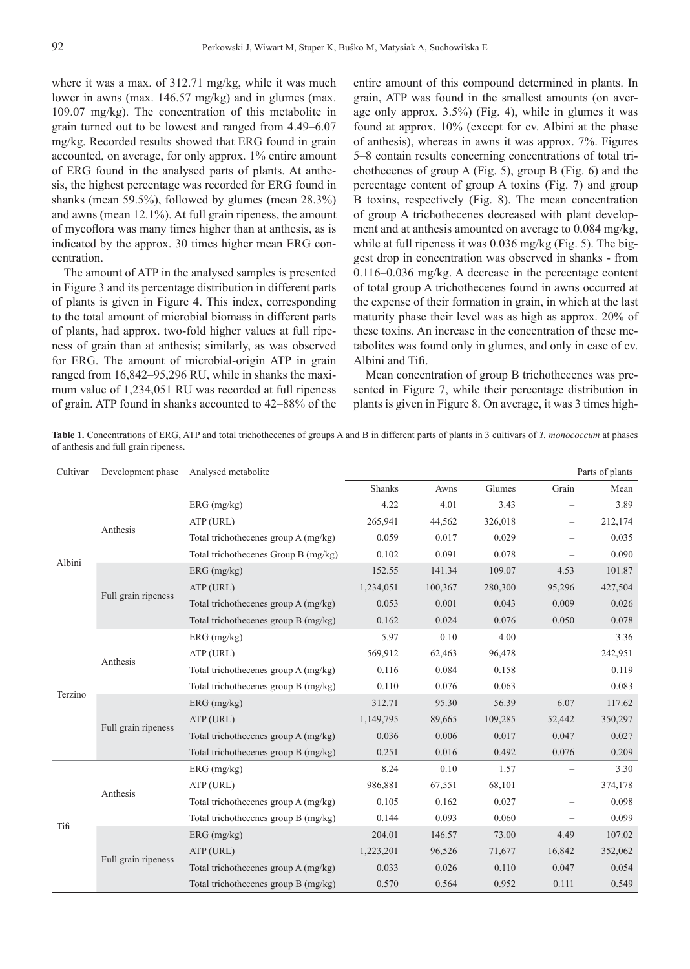where it was a max. of 312.71 mg/kg, while it was much lower in awns (max. 146.57 mg/kg) and in glumes (max. 109.07 mg/kg). The concentration of this metabolite in grain turned out to be lowest and ranged from 4.49–6.07 mg/kg. Recorded results showed that ERG found in grain accounted, on average, for only approx. 1% entire amount of ERG found in the analysed parts of plants. At anthesis, the highest percentage was recorded for ERG found in shanks (mean 59.5%), followed by glumes (mean 28.3%) and awns (mean 12.1%). At full grain ripeness, the amount of mycoflora was many times higher than at anthesis, as is indicated by the approx. 30 times higher mean ERG concentration.

The amount of ATP in the analysed samples is presented in Figure 3 and its percentage distribution in different parts of plants is given in Figure 4. This index, corresponding to the total amount of microbial biomass in different parts of plants, had approx. two-fold higher values at full ripeness of grain than at anthesis; similarly, as was observed for ERG. The amount of microbial-origin ATP in grain ranged from 16,842–95,296 RU, while in shanks the maximum value of 1,234,051 RU was recorded at full ripeness of grain. ATP found in shanks accounted to 42–88% of the entire amount of this compound determined in plants. In grain, ATP was found in the smallest amounts (on average only approx. 3.5%) (Fig. 4), while in glumes it was found at approx. 10% (except for cv. Albini at the phase of anthesis), whereas in awns it was approx. 7%. Figures 5–8 contain results concerning concentrations of total trichothecenes of group A (Fig. 5), group B (Fig. 6) and the percentage content of group A toxins (Fig. 7) and group B toxins, respectively (Fig. 8). The mean concentration of group A trichothecenes decreased with plant development and at anthesis amounted on average to 0.084 mg/kg, while at full ripeness it was 0.036 mg/kg (Fig. 5). The biggest drop in concentration was observed in shanks - from 0.116–0.036 mg/kg. A decrease in the percentage content of total group A trichothecenes found in awns occurred at the expense of their formation in grain, in which at the last maturity phase their level was as high as approx. 20% of these toxins. An increase in the concentration of these metabolites was found only in glumes, and only in case of cv. Albini and Tifi.

Mean concentration of group B trichothecenes was presented in Figure 7, while their percentage distribution in plants is given in Figure 8. On average, it was 3 times high-

**Table 1.** Concentrations of ERG, ATP and total trichothecenes of groups A and B in different parts of plants in 3 cultivars of *T. monococcum* at phases of anthesis and full grain ripeness.

| Cultivar | Development phase   | Analysed metabolite                  |               |         |         |                          |         |  |
|----------|---------------------|--------------------------------------|---------------|---------|---------|--------------------------|---------|--|
|          |                     |                                      | <b>Shanks</b> | Awns    | Glumes  | Grain                    | Mean    |  |
| Albini   |                     | $ERG$ (mg/kg)                        | 4.22          | 4.01    | 3.43    | $\overline{\phantom{0}}$ | 3.89    |  |
|          | Anthesis            | ATP (URL)                            | 265,941       | 44,562  | 326,018 |                          | 212,174 |  |
|          |                     | Total trichothecenes group A (mg/kg) | 0.059         | 0.017   | 0.029   |                          | 0.035   |  |
|          |                     | Total trichothecenes Group B (mg/kg) | 0.102         | 0.091   | 0.078   |                          | 0.090   |  |
|          | Full grain ripeness | $ERG$ (mg/kg)                        | 152.55        | 141.34  | 109.07  | 4.53                     | 101.87  |  |
|          |                     | ATP (URL)                            | 1,234,051     | 100,367 | 280,300 | 95,296                   | 427,504 |  |
|          |                     | Total trichothecenes group A (mg/kg) | 0.053         | 0.001   | 0.043   | 0.009                    | 0.026   |  |
|          |                     | Total trichothecenes group B (mg/kg) | 0.162         | 0.024   | 0.076   | 0.050                    | 0.078   |  |
| Terzino  | Anthesis            | $ERG$ (mg/kg)                        | 5.97          | 0.10    | 4.00    |                          | 3.36    |  |
|          |                     | ATP (URL)                            | 569,912       | 62,463  | 96,478  |                          | 242,951 |  |
|          |                     | Total trichothecenes group A (mg/kg) | 0.116         | 0.084   | 0.158   |                          | 0.119   |  |
|          |                     | Total trichothecenes group B (mg/kg) | 0.110         | 0.076   | 0.063   |                          | 0.083   |  |
|          | Full grain ripeness | $ERG$ (mg/kg)                        | 312.71        | 95.30   | 56.39   | 6.07                     | 117.62  |  |
|          |                     | ATP (URL)                            | 1,149,795     | 89,665  | 109,285 | 52,442                   | 350,297 |  |
|          |                     | Total trichothecenes group A (mg/kg) | 0.036         | 0.006   | 0.017   | 0.047                    | 0.027   |  |
|          |                     | Total trichothecenes group B (mg/kg) | 0.251         | 0.016   | 0.492   | 0.076                    | 0.209   |  |
| Tifi     | Anthesis            | $ERG$ (mg/kg)                        | 8.24          | 0.10    | 1.57    |                          | 3.30    |  |
|          |                     | ATP (URL)                            | 986,881       | 67,551  | 68,101  |                          | 374,178 |  |
|          |                     | Total trichothecenes group A (mg/kg) | 0.105         | 0.162   | 0.027   |                          | 0.098   |  |
|          |                     | Total trichothecenes group B (mg/kg) | 0.144         | 0.093   | 0.060   |                          | 0.099   |  |
|          | Full grain ripeness | $ERG$ (mg/kg)                        | 204.01        | 146.57  | 73.00   | 4.49                     | 107.02  |  |
|          |                     | ATP (URL)                            | 1,223,201     | 96,526  | 71,677  | 16,842                   | 352,062 |  |
|          |                     | Total trichothecenes group A (mg/kg) | 0.033         | 0.026   | 0.110   | 0.047                    | 0.054   |  |
|          |                     | Total trichothecenes group B (mg/kg) | 0.570         | 0.564   | 0.952   | 0.111                    | 0.549   |  |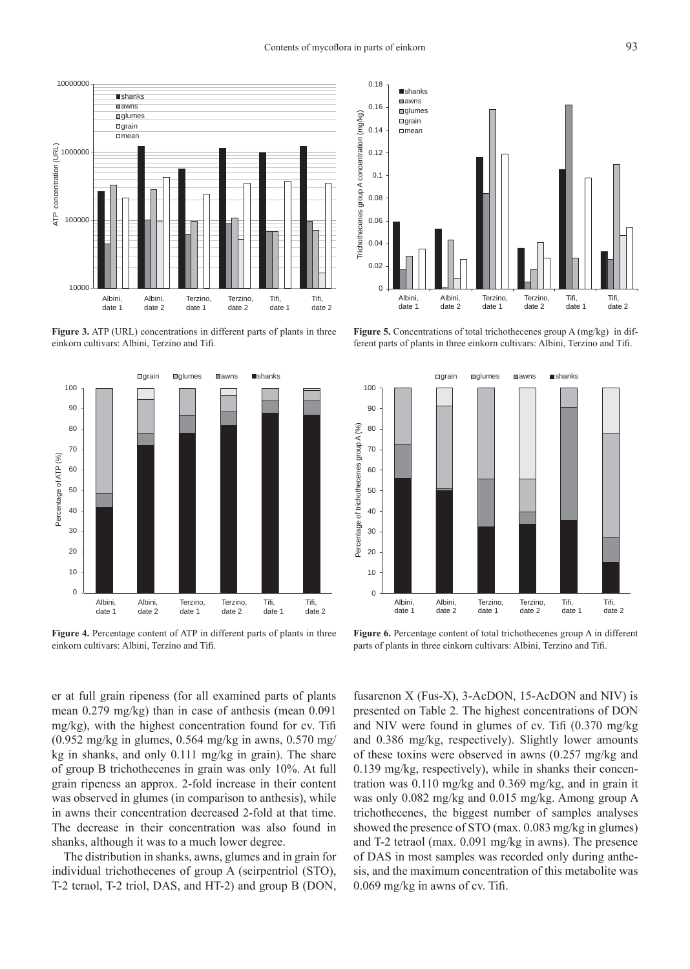$0.18$  shanks

date 1

date 2



Figure 3. ATP (URL) concentrations in different parts of plants in three einkorn cultivars: Albini, Terzino and Tifi.



**Figure 4.** Percentage content of ATP in different parts of plants in three einkorn cultivars: Albini, Terzino and Tifi.

**■**awns 0.16 glumes Trichothecenes group A concentration (mg/kg) Trichothecenes group A concentration (mg/kg)  $\Box$ grain 0.14 mean 0.12 0.1 0.08 0.06 0.04 0.02  $\Omega$ Albini, Albini, Terzino, Tifi, Tifi, Terzino,

**Figure 5.** Concentrations of total trichothecenes group A (mg/kg) in different parts of plants in three einkorn cultivars: Albini, Terzino and Tifi.

date 1

date 2

date 1

date 2



Figure 6. Percentage content of total trichothecenes group A in different parts of plants in three einkorn cultivars: Albini, Terzino and Tifi.

er at full grain ripeness (for all examined parts of plants mean 0.279 mg/kg) than in case of anthesis (mean 0.091 mg/kg), with the highest concentration found for cv. Tifi (0.952 mg/kg in glumes, 0.564 mg/kg in awns, 0.570 mg/ kg in shanks, and only 0.111 mg/kg in grain). The share of group B trichothecenes in grain was only 10%. At full grain ripeness an approx. 2-fold increase in their content was observed in glumes (in comparison to anthesis), while in awns their concentration decreased 2-fold at that time. The decrease in their concentration was also found in shanks, although it was to a much lower degree.

The distribution in shanks, awns, glumes and in grain for individual trichothecenes of group A (scirpentriol (STO), T-2 teraol, T-2 triol, DAS, and HT-2) and group B (DON,

fusarenon X (Fus-X), 3-AcDON, 15-AcDON and NIV) is presented on Table 2. The highest concentrations of DON and NIV were found in glumes of cv. Tifi (0.370 mg/kg and 0.386 mg/kg, respectively). Slightly lower amounts of these toxins were observed in awns (0.257 mg/kg and 0.139 mg/kg, respectively), while in shanks their concentration was 0.110 mg/kg and 0.369 mg/kg, and in grain it was only 0.082 mg/kg and 0.015 mg/kg. Among group A trichothecenes, the biggest number of samples analyses showed the presence of STO (max. 0.083 mg/kg in glumes) and T-2 tetraol (max. 0.091 mg/kg in awns). The presence of DAS in most samples was recorded only during anthesis, and the maximum concentration of this metabolite was  $0.069$  mg/kg in awns of cv. Tifi.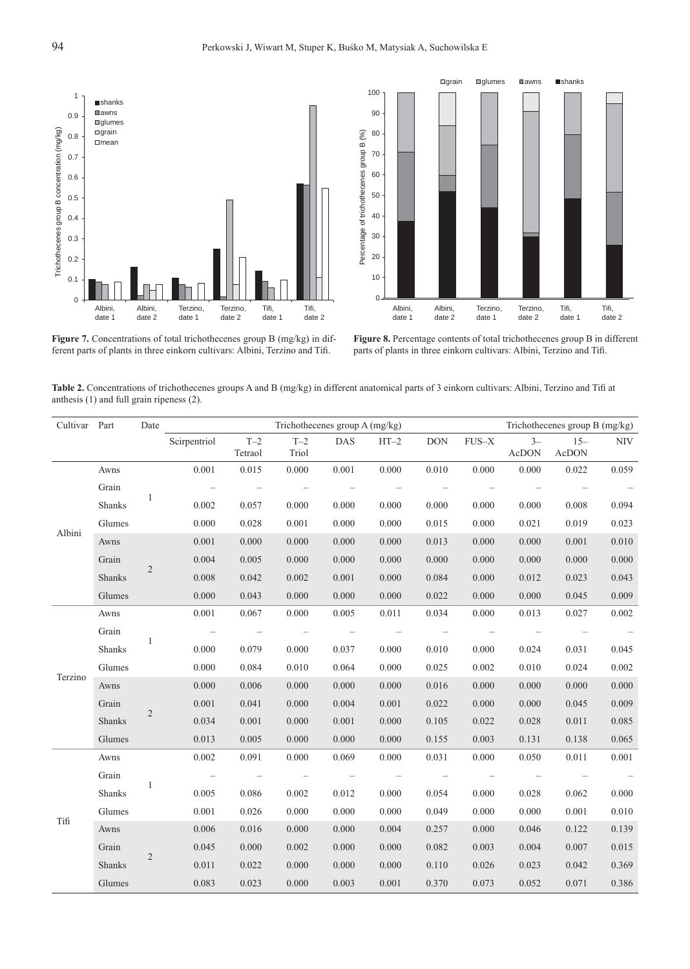



Figure 7. Concentrations of total trichothecenes group B (mg/kg) in different parts of plants in three einkorn cultivars: Albini, Terzino and Tifi.

**Figure 8.** Percentage contents of total trichothecenes group B in different parts of plants in three einkorn cultivars: Albini, Terzino and Tifi.

**Table 2.** Concentrations of trichothecenes groups A and B (mg/kg) in different anatomical parts of 3 einkorn cultivars: Albini, Terzino and Tifi at anthesis (1) and full grain ripeness (2).

| Cultivar Part |        | Date           | Trichothecenes group A (mg/kg) |                          |                          |                                 |                          |                          | Trichothecenes group B (mg/kg) |                                 |                          |            |
|---------------|--------|----------------|--------------------------------|--------------------------|--------------------------|---------------------------------|--------------------------|--------------------------|--------------------------------|---------------------------------|--------------------------|------------|
|               |        |                | Scirpentriol T-2               | Tetraol                  | $T-2$<br>Triol           | <b>DAS</b>                      | $HT-2$                   | <b>DON</b>               | FUS-X                          | $3-$<br>AcDON                   | $15 -$<br>AcDON          | <b>NIV</b> |
| Albini        | Awns   | $\mathbf{1}$   | 0.001                          | 0.015                    | 0.000                    | 0.001                           | 0.000                    | 0.010                    | 0.000                          | 0.000                           | 0.022                    | 0.059      |
|               | Grain  |                | $\overline{\phantom{a}}$       | $\overline{\phantom{a}}$ | $\overline{\phantom{a}}$ | $\overline{\phantom{a}}$        | $\overline{\phantom{a}}$ | $\overline{\phantom{a}}$ | $\overline{\phantom{a}}$       | $\overline{\phantom{a}}$        | $\overline{\phantom{m}}$ |            |
|               | Shanks |                | 0.002                          | 0.057                    | 0.000                    | 0.000                           | 0.000                    | 0.000                    | 0.000                          | 0.000                           | 0.008                    | 0.094      |
|               | Glumes |                | 0.000                          | 0.028                    | 0.001                    | 0.000                           | 0.000                    | 0.015                    | 0.000                          | 0.021                           | 0.019                    | 0.023      |
|               | Awns   |                | 0.001                          | 0.000                    | 0.000                    | 0.000                           | 0.000                    | 0.013                    | 0.000                          | 0.000                           | 0.001                    | 0.010      |
|               | Grain  | 2              | 0.004                          | 0.005                    | 0.000                    | 0.000                           | 0.000                    | 0.000                    | 0.000                          | 0.000                           | 0.000                    | 0.000      |
|               | Shanks |                | 0.008                          | 0.042                    | 0.002                    | 0.001                           | 0.000                    | 0.084                    | 0.000                          | 0.012                           | 0.023                    | 0.043      |
|               | Glumes |                | 0.000                          | 0.043                    | 0.000                    | 0.000                           | 0.000                    | 0.022                    | 0.000                          | 0.000                           | 0.045                    | 0.009      |
| Terzino       | Awns   |                | 0.001                          | 0.067                    | 0.000                    | 0.005                           | 0.011                    | 0.034                    | 0.000                          | 0.013                           | 0.027                    | 0.002      |
|               | Grain  |                | $\sim$ $-$                     | $\sim$ $-$               | $\sim$ $-$               | $\sim$ $-$                      | $\sim$ $-$               | $\sim$ $-$               | $\sim$ $-$                     | $\sim$ $-$                      | $\sim$ $-$               |            |
|               | Shanks | -1             | 0.000                          | 0.079                    | 0.000                    | 0.037                           | 0.000                    | 0.010                    | 0.000                          | 0.024                           | 0.031                    | 0.045      |
|               | Glumes |                | 0.000                          | 0.084                    | 0.010                    | 0.064                           | 0.000                    | 0.025                    | 0.002                          | 0.010                           | 0.024                    | 0.002      |
|               | Awns   |                | 0.000                          | 0.006                    | 0.000                    | 0.000                           | 0.000                    | 0.016                    | 0.000                          | 0.000                           | 0.000                    | 0.000      |
|               | Grain  | $\overline{2}$ | 0.001                          | 0.041                    | 0.000                    | 0.004                           | 0.001                    | 0.022                    | 0.000                          | 0.000                           | 0.045                    | 0.009      |
|               | Shanks |                | 0.034                          | 0.001                    | 0.000                    | 0.001                           | 0.000                    | 0.105                    | 0.022                          | 0.028                           | 0.011                    | 0.085      |
|               | Glumes |                | 0.013                          | 0.005                    | 0.000                    | 0.000                           | 0.000                    | 0.155                    | 0.003                          | 0.131                           | 0.138                    | 0.065      |
| Tifi          | Awns   |                | 0.002                          | 0.091                    | 0.000                    | 0.069                           | 0.000                    | 0.031                    | 0.000                          | 0.050                           | 0.011                    | $0.001\,$  |
|               | Grain  | $\overline{1}$ | $\sim$ $-$                     | $\sim$ $-$               | $\sim$ $-$               | $\hspace{0.1mm}-\hspace{0.1mm}$ | $\overline{\phantom{a}}$ | $\overline{\phantom{m}}$ | $\overline{\phantom{m}}$       | $\hspace{0.1mm}-\hspace{0.1mm}$ | $\overline{\phantom{a}}$ |            |
|               | Shanks |                | 0.005                          | 0.086                    | 0.002                    | 0.012                           | 0.000                    | 0.054                    | 0.000                          | 0.028                           | 0.062                    | 0.000      |
|               | Glumes |                | 0.001                          | 0.026                    | 0.000                    | 0.000                           | 0.000                    | 0.049                    | 0.000                          | 0.000                           | 0.001                    | 0.010      |
|               | Awns   | $\overline{2}$ | 0.006                          | 0.016                    | 0.000                    | 0.000                           | 0.004                    | 0.257                    | 0.000                          | 0.046                           | 0.122                    | 0.139      |
|               | Grain  |                | 0.045                          | 0.000                    | 0.002                    | 0.000                           | 0.000                    | 0.082                    | 0.003                          | 0.004                           | 0.007                    | 0.015      |
|               | Shanks |                | 0.011                          | 0.022                    | 0.000                    | 0.000                           | 0.000                    | 0.110                    | 0.026                          | 0.023                           | 0.042                    | 0.369      |
|               | Glumes |                | 0.083                          | 0.023                    | 0.000                    | 0.003                           | 0.001                    | 0.370                    | 0.073                          | 0.052                           | 0.071                    | 0.386      |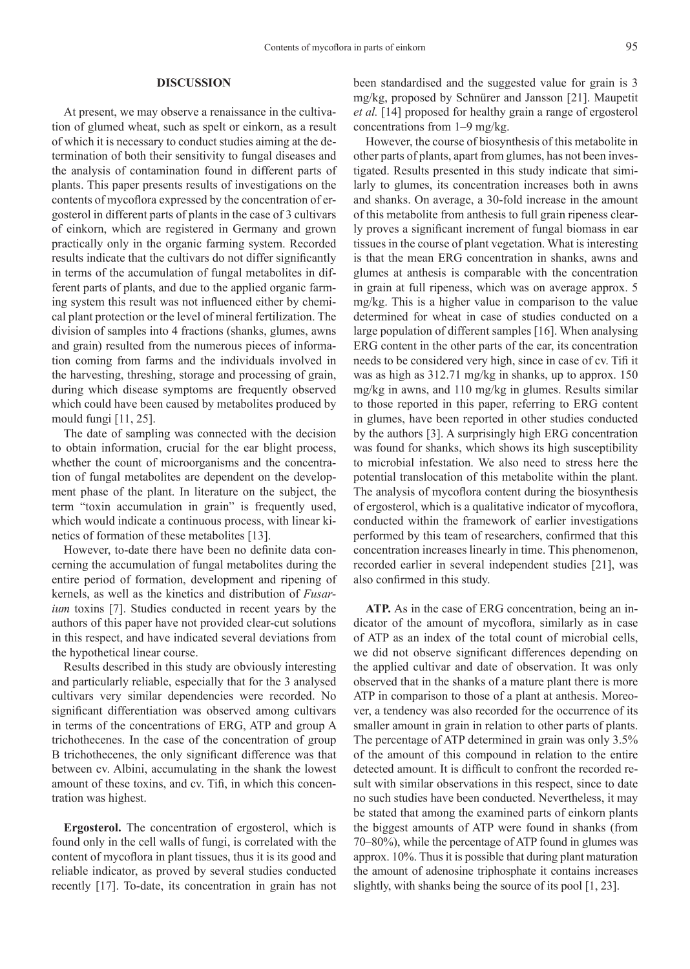### **DISCUSSION**

At present, we may observe a renaissance in the cultivation of glumed wheat, such as spelt or einkorn, as a result of which it is necessary to conduct studies aiming at the determination of both their sensitivity to fungal diseases and the analysis of contamination found in different parts of plants. This paper presents results of investigations on the contents of mycoflora expressed by the concentration of ergosterol in different parts of plants in the case of 3 cultivars of einkorn, which are registered in Germany and grown practically only in the organic farming system. Recorded results indicate that the cultivars do not differ significantly in terms of the accumulation of fungal metabolites in different parts of plants, and due to the applied organic farming system this result was not influenced either by chemical plant protection or the level of mineral fertilization. The division of samples into 4 fractions (shanks, glumes, awns and grain) resulted from the numerous pieces of information coming from farms and the individuals involved in the harvesting, threshing, storage and processing of grain, during which disease symptoms are frequently observed which could have been caused by metabolites produced by mould fungi [11, 25].

The date of sampling was connected with the decision to obtain information, crucial for the ear blight process, whether the count of microorganisms and the concentration of fungal metabolites are dependent on the development phase of the plant. In literature on the subject, the term "toxin accumulation in grain" is frequently used, which would indicate a continuous process, with linear kinetics of formation of these metabolites [13].

However, to-date there have been no definite data concerning the accumulation of fungal metabolites during the entire period of formation, development and ripening of kernels, as well as the kinetics and distribution of *Fusarium* toxins [7]. Studies conducted in recent years by the authors of this paper have not provided clear-cut solutions in this respect, and have indicated several deviations from the hypothetical linear course.

Results described in this study are obviously interesting and particularly reliable, especially that for the 3 analysed cultivars very similar dependencies were recorded. No significant differentiation was observed among cultivars in terms of the concentrations of ERG, ATP and group A trichothecenes. In the case of the concentration of group B trichothecenes, the only significant difference was that between cv. Albini, accumulating in the shank the lowest amount of these toxins, and cv. Tifi, in which this concentration was highest.

**Ergosterol.** The concentration of ergosterol, which is found only in the cell walls of fungi, is correlated with the content of mycoflora in plant tissues, thus it is its good and reliable indicator, as proved by several studies conducted recently [17]. To-date, its concentration in grain has not

been standardised and the suggested value for grain is 3 mg/kg, proposed by Schnürer and Jansson [21]. Maupetit *et al.* [14] proposed for healthy grain a range of ergosterol concentrations from 1–9 mg/kg.

However, the course of biosynthesis of this metabolite in other parts of plants, apart from glumes, has not been investigated. Results presented in this study indicate that similarly to glumes, its concentration increases both in awns and shanks. On average, a 30-fold increase in the amount of this metabolite from anthesis to full grain ripeness clearly proves a significant increment of fungal biomass in ear tissues in the course of plant vegetation. What is interesting is that the mean ERG concentration in shanks, awns and glumes at anthesis is comparable with the concentration in grain at full ripeness, which was on average approx. 5 mg/kg. This is a higher value in comparison to the value determined for wheat in case of studies conducted on a large population of different samples [16]. When analysing ERG content in the other parts of the ear, its concentration needs to be considered very high, since in case of cv. Tifi it was as high as 312.71 mg/kg in shanks, up to approx. 150 mg/kg in awns, and 110 mg/kg in glumes. Results similar to those reported in this paper, referring to ERG content in glumes, have been reported in other studies conducted by the authors [3]. A surprisingly high ERG concentration was found for shanks, which shows its high susceptibility to microbial infestation. We also need to stress here the potential translocation of this metabolite within the plant. The analysis of mycoflora content during the biosynthesis of ergosterol, which is a qualitative indicator of mycoflora, conducted within the framework of earlier investigations performed by this team of researchers, confirmed that this concentration increases linearly in time. This phenomenon, recorded earlier in several independent studies [21], was also confirmed in this study.

**ATP.** As in the case of ERG concentration, being an indicator of the amount of mycoflora, similarly as in case of ATP as an index of the total count of microbial cells, we did not observe significant differences depending on the applied cultivar and date of observation. It was only observed that in the shanks of a mature plant there is more ATP in comparison to those of a plant at anthesis. Moreover, a tendency was also recorded for the occurrence of its smaller amount in grain in relation to other parts of plants. The percentage of ATP determined in grain was only 3.5% of the amount of this compound in relation to the entire detected amount. It is difficult to confront the recorded result with similar observations in this respect, since to date no such studies have been conducted. Nevertheless, it may be stated that among the examined parts of einkorn plants the biggest amounts of ATP were found in shanks (from 70–80%), while the percentage of ATP found in glumes was approx. 10%. Thus it is possible that during plant maturation the amount of adenosine triphosphate it contains increases slightly, with shanks being the source of its pool [1, 23].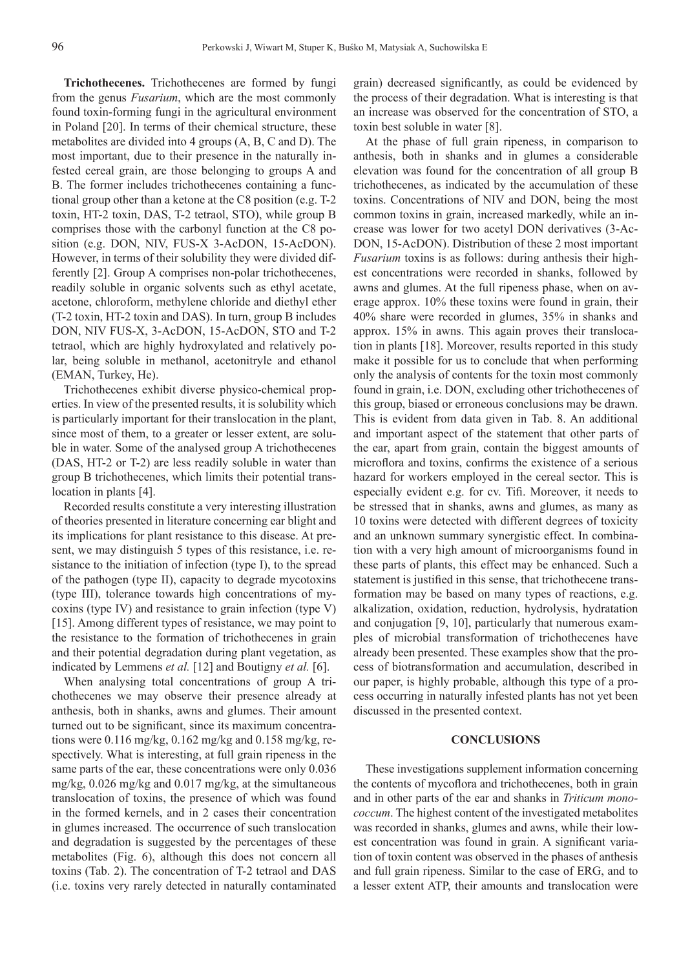**Trichothecenes.** Trichothecenes are formed by fungi from the genus *Fusarium*, which are the most commonly found toxin-forming fungi in the agricultural environment in Poland [20]. In terms of their chemical structure, these metabolites are divided into 4 groups (A, B, C and D). The most important, due to their presence in the naturally infested cereal grain, are those belonging to groups A and B. The former includes trichothecenes containing a functional group other than a ketone at the C8 position (e.g. T-2 toxin, HT-2 toxin, DAS, T-2 tetraol, STO), while group B comprises those with the carbonyl function at the C8 position (e.g. DON, NIV, FUS-X 3-AcDON, 15-AcDON). However, in terms of their solubility they were divided differently [2]. Group A comprises non-polar trichothecenes, readily soluble in organic solvents such as ethyl acetate, acetone, chloroform, methylene chloride and diethyl ether (T-2 toxin, HT-2 toxin and DAS). In turn, group B includes DON, NIV FUS-X, 3-AcDON, 15-AcDON, STO and T-2 tetraol, which are highly hydroxylated and relatively polar, being soluble in methanol, acetonitryle and ethanol (EMAN, Turkey, He).

Trichothecenes exhibit diverse physico-chemical properties. In view of the presented results, it is solubility which is particularly important for their translocation in the plant, since most of them, to a greater or lesser extent, are soluble in water. Some of the analysed group A trichothecenes (DAS, HT-2 or T-2) are less readily soluble in water than group B trichothecenes, which limits their potential translocation in plants [4].

Recorded results constitute a very interesting illustration of theories presented in literature concerning ear blight and its implications for plant resistance to this disease. At present, we may distinguish 5 types of this resistance, i.e. resistance to the initiation of infection (type I), to the spread of the pathogen (type II), capacity to degrade mycotoxins (type III), tolerance towards high concentrations of mycoxins (type IV) and resistance to grain infection (type V) [15]. Among different types of resistance, we may point to the resistance to the formation of trichothecenes in grain and their potential degradation during plant vegetation, as indicated by Lemmens *et al.* [12] and Boutigny *et al.* [6].

When analysing total concentrations of group A trichothecenes we may observe their presence already at anthesis, both in shanks, awns and glumes. Their amount turned out to be significant, since its maximum concentrations were 0.116 mg/kg, 0.162 mg/kg and 0.158 mg/kg, respectively. What is interesting, at full grain ripeness in the same parts of the ear, these concentrations were only 0.036 mg/kg, 0.026 mg/kg and 0.017 mg/kg, at the simultaneous translocation of toxins, the presence of which was found in the formed kernels, and in 2 cases their concentration in glumes increased. The occurrence of such translocation and degradation is suggested by the percentages of these metabolites (Fig. 6), although this does not concern all toxins (Tab. 2). The concentration of T-2 tetraol and DAS (i.e. toxins very rarely detected in naturally contaminated

grain) decreased significantly, as could be evidenced by the process of their degradation. What is interesting is that an increase was observed for the concentration of STO, a toxin best soluble in water [8].

At the phase of full grain ripeness, in comparison to anthesis, both in shanks and in glumes a considerable elevation was found for the concentration of all group B trichothecenes, as indicated by the accumulation of these toxins. Concentrations of NIV and DON, being the most common toxins in grain, increased markedly, while an increase was lower for two acetyl DON derivatives (3-Ac-DON, 15-AcDON). Distribution of these 2 most important *Fusarium* toxins is as follows: during anthesis their highest concentrations were recorded in shanks, followed by awns and glumes. At the full ripeness phase, when on average approx. 10% these toxins were found in grain, their 40% share were recorded in glumes, 35% in shanks and approx. 15% in awns. This again proves their translocation in plants [18]. Moreover, results reported in this study make it possible for us to conclude that when performing only the analysis of contents for the toxin most commonly found in grain, i.e. DON, excluding other trichothecenes of this group, biased or erroneous conclusions may be drawn. This is evident from data given in Tab. 8. An additional and important aspect of the statement that other parts of the ear, apart from grain, contain the biggest amounts of microflora and toxins, confirms the existence of a serious hazard for workers employed in the cereal sector. This is especially evident e.g. for cv. Tifi. Moreover, it needs to be stressed that in shanks, awns and glumes, as many as 10 toxins were detected with different degrees of toxicity and an unknown summary synergistic effect. In combination with a very high amount of microorganisms found in these parts of plants, this effect may be enhanced. Such a statement is justified in this sense, that trichothecene transformation may be based on many types of reactions, e.g. alkalization, oxidation, reduction, hydrolysis, hydratation and conjugation [9, 10], particularly that numerous examples of microbial transformation of trichothecenes have already been presented. These examples show that the process of biotransformation and accumulation, described in our paper, is highly probable, although this type of a process occurring in naturally infested plants has not yet been discussed in the presented context.

#### **CONCLUSIONS**

These investigations supplement information concerning the contents of mycoflora and trichothecenes, both in grain and in other parts of the ear and shanks in *Triticum monococcum*. The highest content of the investigated metabolites was recorded in shanks, glumes and awns, while their lowest concentration was found in grain. A significant variation of toxin content was observed in the phases of anthesis and full grain ripeness. Similar to the case of ERG, and to a lesser extent ATP, their amounts and translocation were